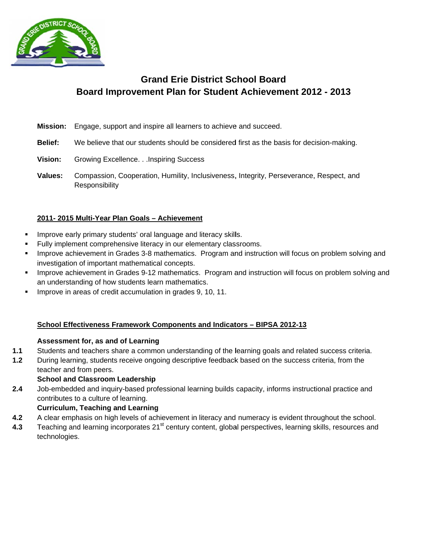

# **Board Improvement Plan for Student Achievement 2012 - 2013** Gra<br>
Board Improvement<br>
Engage, support and insp<br>
Ve believe that our stude<br>
Srowing Excellence...Ins<br>
Compassion, Cooperation<br>
desponsibility<br>
Multi-Year Plan Goals –<br>
y primary students' oral k<br>
ent comprehensive litera<br> **nd Erie District School Board**

- **M Mission:** E Engage, support and inspire all learners to achieve and succeed.
- **B Belief:** W We believe that our students should be considered first as the basis for decision-making.
- **V Vision:** G Growing Excellence. . . Inspiring Success
- **V Values:** C Responsibility Compassion, Cooperation, Humility, Inclusiveness, Integrity, Perseverance, Respect, and

# **2 2011- 2015 M Multi-Year Pl lan Goals – Achievemen nt**

- Improve early primary students' oral language and literacy skills.
- Fully implement comprehensive literacy in our elementary classrooms.
- " Improve achievement in Grades 3-8 mathematics. Program and instruction will focus on problem solving and investigation of important mathematical concepts.
- " Improve achievement in Grades 9-12 mathematics. Program and instruction will focus on problem solving and an understanding of how students learn mathematics.
- **Improve in areas of credit accumulation in grades 9, 10, 11.**

# **School Effectiveness Framework Components and Indicators – BIPSA 2012-13**

# Assessment for, as and of Learning

- $1.1$ Students and teachers share a common understanding of the learning goals and related success criteria.
- $1.2$ t eacher and f from peers. During learning, students receive ongoing descriptive feedback based on the success criteria, from the

# **S School and C Classroom L Leadership**

**2.4** J contributes to a culture of learning. Job-embedded and inquiry-based professional learning builds capacity, informs instructional practice and

# **Curriculum, Teaching and Learning**

- **4.2** A A clear emphasis on high levels of achievement in literacy and numeracy is evident throughout the school.
- **4.3** T t echnologies. Teaching and learning incorporates 21<sup>st</sup> century content, global perspectives, learning skills, resources and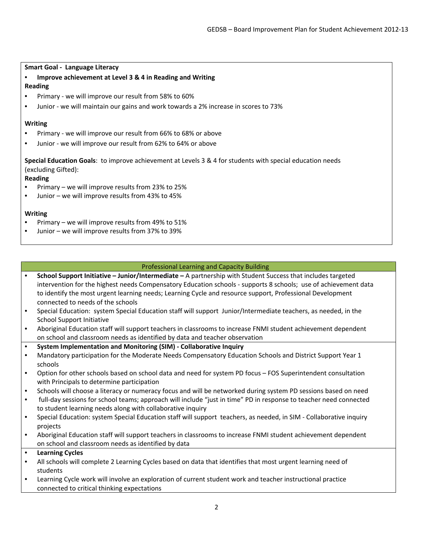#### **Smart Goal ‐ Language Literacy**

• **Improve achievement at Level 3 & 4 in Reading and Writing**

## **Reading**

- Primary ‐ we will improve our result from 58% to 60%
- Junior we will maintain our gains and work towards a 2% increase in scores to 73%

## **Writing**

- Primary ‐ we will improve our result from 66% to 68% or above
- Junior ‐ we will improve our result from 62% to 64% or above

**Special Education Goals**: to improve achievement at Levels 3 & 4 for students with special education needs (excluding Gifted):

## **Reading**

- Primary we will improve results from 23% to 25%
- Junior we will improve results from 43% to 45%

## **Writing**

- Primary we will improve results from 49% to 51%
- Junior we will improve results from 37% to 39%

## Professional Learning and Capacity Building

- **School Support Initiative – Junior/Intermediate –** A partnership with Student Success that includes targeted intervention for the highest needs Compensatory Education schools ‐ supports 8 schools; use of achievement data to identify the most urgent learning needs; Learning Cycle and resource support, Professional Development connected to needs of the schools
- Special Education: system Special Education staff will support Junior/Intermediate teachers, as needed, in the School Support Initiative
- Aboriginal Education staff will support teachers in classrooms to increase FNMI student achievement dependent on school and classroom needs as identified by data and teacher observation
- **System Implementation and Monitoring (SIM) ‐ Collaborative Inquiry**
- Mandatory participation for the Moderate Needs Compensatory Education Schools and District Support Year 1 schools
- Option for other schools based on school data and need for system PD focus FOS Superintendent consultation with Principals to determine participation
- Schools will choose a literacy or numeracy focus and will be networked during system PD sessions based on need
- full-day sessions for school teams; approach will include "just in time" PD in response to teacher need connected to student learning needs along with collaborative inquiry
- Special Education: system Special Education staff will support teachers, as needed, in SIM Collaborative inquiry projects
- Aboriginal Education staff will support teachers in classrooms to increase FNMI student achievement dependent on school and classroom needs as identified by data

## • **Learning Cycles**

- All schools will complete 2 Learning Cycles based on data that identifies that most urgent learning need of students
- Learning Cycle work will involve an exploration of current student work and teacher instructional practice connected to critical thinking expectations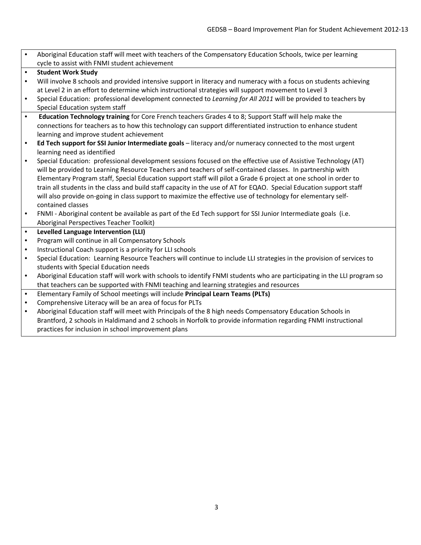| $\bullet$ | Aboriginal Education staff will meet with teachers of the Compensatory Education Schools, twice per learning            |  |  |
|-----------|-------------------------------------------------------------------------------------------------------------------------|--|--|
|           | cycle to assist with FNMI student achievement                                                                           |  |  |
| $\bullet$ | <b>Student Work Study</b>                                                                                               |  |  |
| $\bullet$ | Will involve 8 schools and provided intensive support in literacy and numeracy with a focus on students achieving       |  |  |
|           | at Level 2 in an effort to determine which instructional strategies will support movement to Level 3                    |  |  |
| $\bullet$ | Special Education: professional development connected to Learning for All 2011 will be provided to teachers by          |  |  |
|           | Special Education system staff                                                                                          |  |  |
| $\bullet$ | Education Technology training for Core French teachers Grades 4 to 8; Support Staff will help make the                  |  |  |
|           | connections for teachers as to how this technology can support differentiated instruction to enhance student            |  |  |
|           | learning and improve student achievement                                                                                |  |  |
| $\bullet$ | Ed Tech support for SSI Junior Intermediate goals - literacy and/or numeracy connected to the most urgent               |  |  |
|           | learning need as identified                                                                                             |  |  |
| $\bullet$ | Special Education: professional development sessions focused on the effective use of Assistive Technology (AT)          |  |  |
|           | will be provided to Learning Resource Teachers and teachers of self-contained classes. In partnership with              |  |  |
|           | Elementary Program staff, Special Education support staff will pilot a Grade 6 project at one school in order to        |  |  |
|           | train all students in the class and build staff capacity in the use of AT for EQAO. Special Education support staff     |  |  |
|           | will also provide on-going in class support to maximize the effective use of technology for elementary self-            |  |  |
|           | contained classes                                                                                                       |  |  |
| $\bullet$ | FNMI - Aboriginal content be available as part of the Ed Tech support for SSI Junior Intermediate goals (i.e.           |  |  |
|           | Aboriginal Perspectives Teacher Toolkit)                                                                                |  |  |
| $\bullet$ | <b>Levelled Language Intervention (LLI)</b>                                                                             |  |  |
| $\bullet$ | Program will continue in all Compensatory Schools                                                                       |  |  |
| $\bullet$ | Instructional Coach support is a priority for LLI schools                                                               |  |  |
| $\bullet$ | Special Education: Learning Resource Teachers will continue to include LLI strategies in the provision of services to   |  |  |
|           | students with Special Education needs                                                                                   |  |  |
| $\bullet$ | Aboriginal Education staff will work with schools to identify FNMI students who are participating in the LLI program so |  |  |
|           | that teachers can be supported with FNMI teaching and learning strategies and resources                                 |  |  |
| $\bullet$ | Elementary Family of School meetings will include Principal Learn Teams (PLTs)                                          |  |  |
| $\bullet$ | Comprehensive Literacy will be an area of focus for PLTs                                                                |  |  |
| $\bullet$ | Aboriginal Education staff will meet with Principals of the 8 high needs Compensatory Education Schools in              |  |  |
|           | Brantford, 2 schools in Haldimand and 2 schools in Norfolk to provide information regarding FNMI instructional          |  |  |
|           | practices for inclusion in school improvement plans                                                                     |  |  |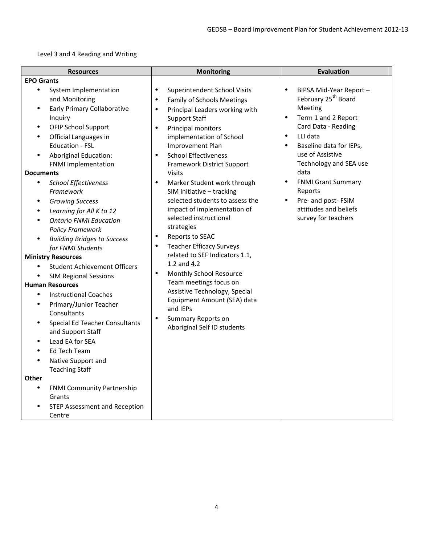Level 3 and 4 Reading and Writing

| <b>Resources</b>                                                                                                                                                                                                                                                                                                                                                                                                                                                                                                                                                                                                                             | <b>Monitoring</b>                                                                                                                                                                                                                                                                                                                                                                                                                                                                                                                                                                                                                                     | <b>Evaluation</b>                                                                                                                                                                                                                                                                                                                                                                  |
|----------------------------------------------------------------------------------------------------------------------------------------------------------------------------------------------------------------------------------------------------------------------------------------------------------------------------------------------------------------------------------------------------------------------------------------------------------------------------------------------------------------------------------------------------------------------------------------------------------------------------------------------|-------------------------------------------------------------------------------------------------------------------------------------------------------------------------------------------------------------------------------------------------------------------------------------------------------------------------------------------------------------------------------------------------------------------------------------------------------------------------------------------------------------------------------------------------------------------------------------------------------------------------------------------------------|------------------------------------------------------------------------------------------------------------------------------------------------------------------------------------------------------------------------------------------------------------------------------------------------------------------------------------------------------------------------------------|
| <b>EPO Grants</b>                                                                                                                                                                                                                                                                                                                                                                                                                                                                                                                                                                                                                            |                                                                                                                                                                                                                                                                                                                                                                                                                                                                                                                                                                                                                                                       |                                                                                                                                                                                                                                                                                                                                                                                    |
| $\bullet$<br>System Implementation<br>and Monitoring<br><b>Early Primary Collaborative</b><br>$\bullet$<br>Inquiry<br><b>OFIP School Support</b><br>Official Languages in<br>Education - FSL<br><b>Aboriginal Education:</b><br><b>FNMI Implementation</b><br><b>Documents</b><br>$\bullet$<br><b>School Effectiveness</b><br>Framework<br><b>Growing Success</b><br>$\bullet$<br>$\bullet$<br>Learning for All K to 12<br><b>Ontario FNMI Education</b><br>$\bullet$<br><b>Policy Framework</b><br><b>Building Bridges to Success</b><br>for FNMI Students<br><b>Ministry Resources</b><br><b>Student Achievement Officers</b><br>$\bullet$ | $\bullet$<br>Superintendent School Visits<br>Family of Schools Meetings<br>$\bullet$<br>Principal Leaders working with<br>$\bullet$<br><b>Support Staff</b><br>Principal monitors<br>$\bullet$<br>implementation of School<br>Improvement Plan<br><b>School Effectiveness</b><br>$\bullet$<br>Framework District Support<br><b>Visits</b><br>$\bullet$<br>Marker Student work through<br>SIM initiative - tracking<br>selected students to assess the<br>impact of implementation of<br>selected instructional<br>strategies<br>Reports to SEAC<br>٠<br><b>Teacher Efficacy Surveys</b><br>$\bullet$<br>related to SEF Indicators 1.1,<br>1.2 and 4.2 | $\bullet$<br>BIPSA Mid-Year Report -<br>February 25 <sup>th</sup> Board<br>Meeting<br>Term 1 and 2 Report<br>Card Data - Reading<br>LLI data<br>$\bullet$<br>Baseline data for IEPs,<br>use of Assistive<br>Technology and SEA use<br>data<br>$\bullet$<br><b>FNMI Grant Summary</b><br>Reports<br>$\bullet$<br>Pre- and post-FSiM<br>attitudes and beliefs<br>survey for teachers |
| <b>SIM Regional Sessions</b><br><b>Human Resources</b><br><b>Instructional Coaches</b><br>$\bullet$<br>Primary/Junior Teacher<br>$\bullet$<br>Consultants<br><b>Special Ed Teacher Consultants</b><br>and Support Staff<br>Lead EA for SEA<br><b>Ed Tech Team</b><br>Native Support and<br><b>Teaching Staff</b><br><b>Other</b><br><b>FNMI Community Partnership</b><br>$\bullet$<br>Grants<br><b>STEP Assessment and Reception</b><br>Centre                                                                                                                                                                                               | $\bullet$<br>Monthly School Resource<br>Team meetings focus on<br>Assistive Technology, Special<br>Equipment Amount (SEA) data<br>and IEPs<br>$\bullet$<br><b>Summary Reports on</b><br>Aboriginal Self ID students                                                                                                                                                                                                                                                                                                                                                                                                                                   |                                                                                                                                                                                                                                                                                                                                                                                    |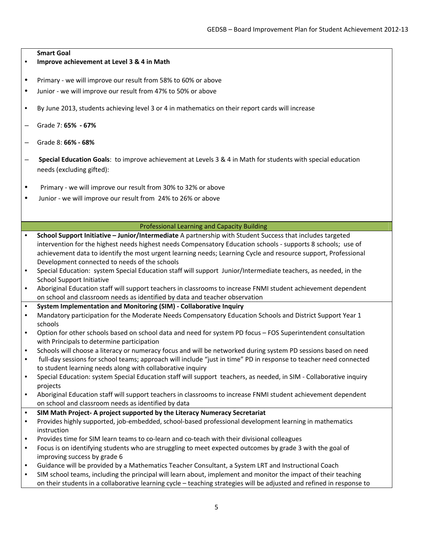| ٠         | <b>Smart Goal</b><br>Improve achievement at Level 3 & 4 in Math                                                                                                      |
|-----------|----------------------------------------------------------------------------------------------------------------------------------------------------------------------|
| $\bullet$ | Primary - we will improve our result from 58% to 60% or above                                                                                                        |
| $\bullet$ | Junior - we will improve our result from 47% to 50% or above                                                                                                         |
| $\bullet$ | By June 2013, students achieving level 3 or 4 in mathematics on their report cards will increase                                                                     |
|           | Grade 7: 65% - 67%                                                                                                                                                   |
|           | Grade 8: 66% - 68%                                                                                                                                                   |
|           | Special Education Goals: to improve achievement at Levels 3 & 4 in Math for students with special education<br>needs (excluding gifted):                             |
| $\bullet$ | Primary - we will improve our result from 30% to 32% or above                                                                                                        |
| ٠         | Junior - we will improve our result from 24% to 26% or above                                                                                                         |
|           |                                                                                                                                                                      |
|           |                                                                                                                                                                      |
|           | <b>Professional Learning and Capacity Building</b>                                                                                                                   |
| $\bullet$ | School Support Initiative - Junior/Intermediate A partnership with Student Success that includes targeted                                                            |
|           | intervention for the highest needs highest needs Compensatory Education schools - supports 8 schools; use of                                                         |
|           | achievement data to identify the most urgent learning needs; Learning Cycle and resource support, Professional                                                       |
|           | Development connected to needs of the schools                                                                                                                        |
| $\bullet$ | Special Education: system Special Education staff will support Junior/Intermediate teachers, as needed, in the<br><b>School Support Initiative</b>                   |
| $\bullet$ | Aboriginal Education staff will support teachers in classrooms to increase FNMI student achievement dependent                                                        |
|           | on school and classroom needs as identified by data and teacher observation                                                                                          |
| $\bullet$ | System Implementation and Monitoring (SIM) - Collaborative Inquiry                                                                                                   |
| $\bullet$ | Mandatory participation for the Moderate Needs Compensatory Education Schools and District Support Year 1                                                            |
|           | schools                                                                                                                                                              |
| $\bullet$ | Option for other schools based on school data and need for system PD focus - FOS Superintendent consultation                                                         |
|           | with Principals to determine participation                                                                                                                           |
|           | Schools will choose a literacy or numeracy focus and will be networked during system PD sessions based on need                                                       |
| $\bullet$ | full-day sessions for school teams; approach will include "just in time" PD in response to teacher need connected                                                    |
|           | to student learning needs along with collaborative inquiry                                                                                                           |
| $\bullet$ | Special Education: system Special Education staff will support teachers, as needed, in SIM - Collaborative inquiry                                                   |
| $\bullet$ | projects                                                                                                                                                             |
|           | Aboriginal Education staff will support teachers in classrooms to increase FNMI student achievement dependent<br>on school and classroom needs as identified by data |
| $\bullet$ | SIM Math Project- A project supported by the Literacy Numeracy Secretariat                                                                                           |
| $\bullet$ | Provides highly supported, job-embedded, school-based professional development learning in mathematics                                                               |
|           | instruction                                                                                                                                                          |
| $\bullet$ | Provides time for SIM learn teams to co-learn and co-teach with their divisional colleagues                                                                          |
| $\bullet$ | Focus is on identifying students who are struggling to meet expected outcomes by grade 3 with the goal of                                                            |
|           | improving success by grade 6                                                                                                                                         |
| $\bullet$ | Guidance will be provided by a Mathematics Teacher Consultant, a System LRT and Instructional Coach                                                                  |
| ٠         | SIM school teams, including the principal will learn about, implement and monitor the impact of their teaching                                                       |
|           | on their students in a collaborative learning cycle - teaching strategies will be adjusted and refined in response to                                                |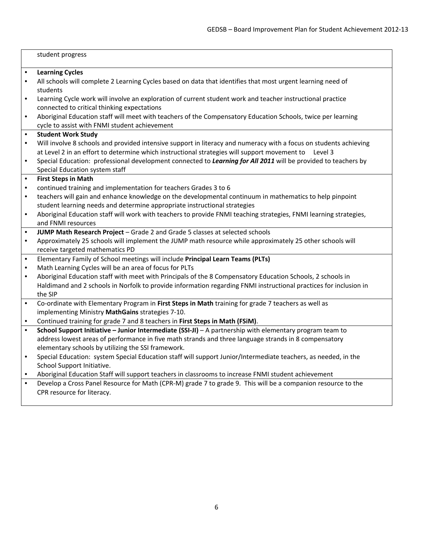|           | student progress                                                                                                  |
|-----------|-------------------------------------------------------------------------------------------------------------------|
|           |                                                                                                                   |
| $\bullet$ | <b>Learning Cycles</b>                                                                                            |
| $\bullet$ | All schools will complete 2 Learning Cycles based on data that identifies that most urgent learning need of       |
|           | students                                                                                                          |
| $\bullet$ | Learning Cycle work will involve an exploration of current student work and teacher instructional practice        |
|           | connected to critical thinking expectations                                                                       |
| $\bullet$ | Aboriginal Education staff will meet with teachers of the Compensatory Education Schools, twice per learning      |
|           | cycle to assist with FNMI student achievement                                                                     |
| $\bullet$ | <b>Student Work Study</b>                                                                                         |
| $\bullet$ | Will involve 8 schools and provided intensive support in literacy and numeracy with a focus on students achieving |
|           | at Level 2 in an effort to determine which instructional strategies will support movement to<br>Level 3           |
|           | Special Education: professional development connected to Learning for All 2011 will be provided to teachers by    |
|           | Special Education system staff                                                                                    |
| $\bullet$ | <b>First Steps in Math</b>                                                                                        |
| $\bullet$ | continued training and implementation for teachers Grades 3 to 6                                                  |
| $\bullet$ | teachers will gain and enhance knowledge on the developmental continuum in mathematics to help pinpoint           |
|           | student learning needs and determine appropriate instructional strategies                                         |
| $\bullet$ | Aboriginal Education staff will work with teachers to provide FNMI teaching strategies, FNMI learning strategies, |
|           | and FNMI resources                                                                                                |
| $\bullet$ | JUMP Math Research Project - Grade 2 and Grade 5 classes at selected schools                                      |
| $\bullet$ | Approximately 25 schools will implement the JUMP math resource while approximately 25 other schools will          |
|           | receive targeted mathematics PD                                                                                   |
| $\bullet$ | Elementary Family of School meetings will include Principal Learn Teams (PLTs)                                    |
| $\bullet$ | Math Learning Cycles will be an area of focus for PLTs                                                            |
| $\bullet$ | Aboriginal Education staff with meet with Principals of the 8 Compensatory Education Schools, 2 schools in        |
|           | Haldimand and 2 schools in Norfolk to provide information regarding FNMI instructional practices for inclusion in |
|           | the SIP                                                                                                           |
| $\bullet$ | Co-ordinate with Elementary Program in First Steps in Math training for grade 7 teachers as well as               |
|           | implementing Ministry MathGains strategies 7-10.                                                                  |
|           | Continued training for grade 7 and 8 teachers in First Steps in Math (FSiM).                                      |
| $\bullet$ | School Support Initiative - Junior Intermediate (SSI-JI) - A partnership with elementary program team to          |
|           | address lowest areas of performance in five math strands and three language strands in 8 compensatory             |
|           | elementary schools by utilizing the SSI framework.                                                                |
| $\bullet$ | Special Education: system Special Education staff will support Junior/Intermediate teachers, as needed, in the    |
|           | School Support Initiative.                                                                                        |
| $\bullet$ | Aboriginal Education Staff will support teachers in classrooms to increase FNMI student achievement               |
| $\bullet$ | Develop a Cross Panel Resource for Math (CPR-M) grade 7 to grade 9. This will be a companion resource to the      |
|           | CPR resource for literacy.                                                                                        |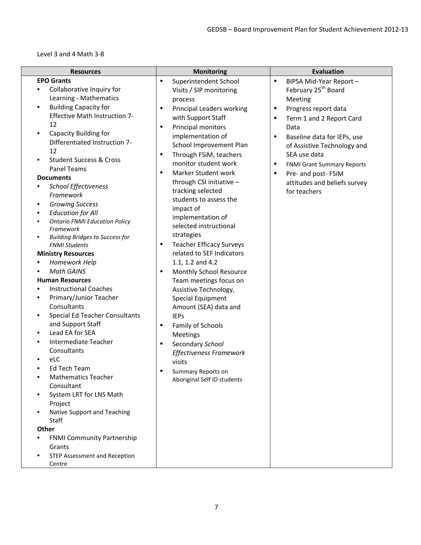Level 3 and 4 Math 3‐8

| <b>Resources</b>                                                                                                                                                                                                                                                                                                                                                                                                                                                                                                                                                                                                                                                                                                                                                                                                                                                                                                                                                                                                                                                                                                                          | <b>Monitoring</b>                                                                                                                                                                                                                                                                                                                                                                                                                                                                                                                                                                                                                                                                                                                                                                                                                                                                                                     | <b>Evaluation</b>                                                                                                                                                                                                                                                                                                                                                                    |
|-------------------------------------------------------------------------------------------------------------------------------------------------------------------------------------------------------------------------------------------------------------------------------------------------------------------------------------------------------------------------------------------------------------------------------------------------------------------------------------------------------------------------------------------------------------------------------------------------------------------------------------------------------------------------------------------------------------------------------------------------------------------------------------------------------------------------------------------------------------------------------------------------------------------------------------------------------------------------------------------------------------------------------------------------------------------------------------------------------------------------------------------|-----------------------------------------------------------------------------------------------------------------------------------------------------------------------------------------------------------------------------------------------------------------------------------------------------------------------------------------------------------------------------------------------------------------------------------------------------------------------------------------------------------------------------------------------------------------------------------------------------------------------------------------------------------------------------------------------------------------------------------------------------------------------------------------------------------------------------------------------------------------------------------------------------------------------|--------------------------------------------------------------------------------------------------------------------------------------------------------------------------------------------------------------------------------------------------------------------------------------------------------------------------------------------------------------------------------------|
| <b>EPO Grants</b><br>Collaborative Inquiry for<br>Learning - Mathematics<br><b>Building Capacity for</b><br>$\bullet$<br><b>Effective Math Instruction 7-</b><br>12<br>Capacity Building for<br>Differentiated Instruction 7-<br>12<br><b>Student Success &amp; Cross</b><br><b>Panel Teams</b><br><b>Documents</b><br><b>School Effectiveness</b><br>$\bullet$<br>Framework<br><b>Growing Success</b><br>$\bullet$<br><b>Education for All</b><br><b>Ontario FNMI Education Policy</b><br>Framework<br><b>Building Bridges to Success for</b><br><b>FNMI Students</b><br><b>Ministry Resources</b><br>Homework Help<br><b>Math GAINS</b><br><b>Human Resources</b><br><b>Instructional Coaches</b><br>Primary/Junior Teacher<br>٠<br>Consultants<br><b>Special Ed Teacher Consultants</b><br>and Support Staff<br>Lead EA for SEA<br>Intermediate Teacher<br>Consultants<br>eLC<br>Ed Tech Team<br><b>Mathematics Teacher</b><br>٠<br>Consultant<br>System LRT for LNS Math<br>Project<br>Native Support and Teaching<br>Staff<br>Other<br><b>FNMI Community Partnership</b><br>Grants<br><b>STEP Assessment and Reception</b><br>Centre | $\bullet$<br>Superintendent School<br>Visits / SIP monitoring<br>process<br>Principal Leaders working<br>$\bullet$<br>with Support Staff<br>Principal monitors<br>$\bullet$<br>implementation of<br>School Improvement Plan<br>Through FSiM, teachers<br>$\bullet$<br>monitor student work<br>Marker Student work<br>$\bullet$<br>through CSI initiative -<br>tracking selected<br>students to assess the<br>impact of<br>implementation of<br>selected instructional<br>strategies<br><b>Teacher Efficacy Surveys</b><br>$\bullet$<br>related to SEF Indicators<br>1.1, 1.2 and 4.2<br>Monthly School Resource<br>$\bullet$<br>Team meetings focus on<br>Assistive Technology,<br>Special Equipment<br>Amount (SEA) data and<br><b>IEPs</b><br>Family of Schools<br>$\bullet$<br>Meetings<br>Secondary School<br>$\bullet$<br>Effectiveness Framework<br>visits<br>Summary Reports on<br>Aboriginal Self ID students | $\bullet$<br>BIPSA Mid-Year Report -<br>February 25 <sup>th</sup> Board<br>Meeting<br>Progress report data<br>$\bullet$<br>Term 1 and 2 Report Card<br>Data<br>$\bullet$<br>Baseline data for IEPs, use<br>of Assistive Technology and<br>SEA use data<br><b>FNMI Grant Summary Reports</b><br>٠<br>Pre- and post- FSiM<br>$\bullet$<br>attitudes and beliefs survey<br>for teachers |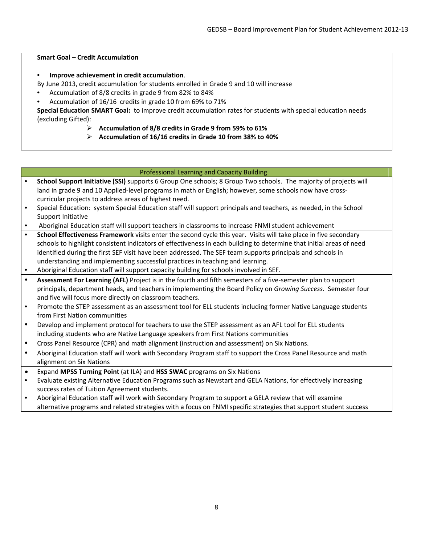#### **Smart Goal – Credit Accumulation**

• **Improve achievement in credit accumulation**.

By June 2013, credit accumulation for students enrolled in Grade 9 and 10 will increase

- Accumulation of 8/8 credits in grade 9 from 82% to 84%
- Accumulation of 16/16 credits in grade 10 from 69% to 71%

**Special Education SMART Goal:** to improve credit accumulation rates for students with special education needs (excluding Gifted):

- **Accumulation of 8/8 credits in Grade 9 from 59% to 61%**
- **Accumulation of 16/16 credits in Grade 10 from 38% to 40%**

## Professional Learning and Capacity Building

- **School Support Initiative (SSI)** supports 6 Group One schools; 8 Group Two schools. The majority of projects will land in grade 9 and 10 Applied-level programs in math or English; however, some schools now have crosscurricular projects to address areas of highest need.
- Special Education: system Special Education staff will support principals and teachers, as needed, in the School Support Initiative
- Aboriginal Education staff will support teachers in classrooms to increase FNMI student achievement
- **School Effectiveness Framework** visits enter the second cycle this year. Visits will take place in five secondary schools to highlight consistent indicators of effectiveness in each building to determine that initial areas of need identified during the first SEF visit have been addressed. The SEF team supports principals and schools in understanding and implementing successful practices in teaching and learning.
- Aboriginal Education staff will support capacity building for schools involved in SEF.
- **Assessment For Learning (AFL)** Project is in the fourth and fifth semesters of a five‐semester plan to support principals, department heads, and teachers in implementing the Board Policy on *Growing Success*. Semester four and five will focus more directly on classroom teachers.
- Promote the STEP assessment as an assessment tool for ELL students including former Native Language students from First Nation communities
- Develop and implement protocol for teachers to use the STEP assessment as an AFL tool for ELL students including students who are Native Language speakers from First Nations communities
- Cross Panel Resource (CPR) and math alignment (instruction and assessment) on Six Nations.
- Aboriginal Education staff will work with Secondary Program staff to support the Cross Panel Resource and math alignment on Six Nations
- Expand **MPSS Turning Point** (at ILA) and **HSS SWAC** programs on Six Nations
- Evaluate existing Alternative Education Programs such as Newstart and GELA Nations, for effectively increasing success rates of Tuition Agreement students.
- Aboriginal Education staff will work with Secondary Program to support a GELA review that will examine alternative programs and related strategies with a focus on FNMI specific strategies that support student success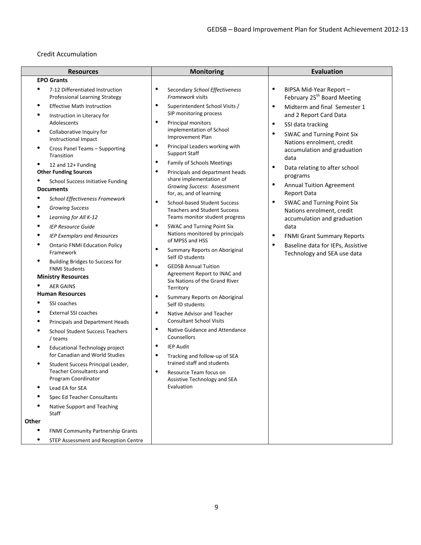## Credit Accumulation

| <b>Resources</b>                                                                    | <b>Monitoring</b>                                                                         | <b>Evaluation</b>                                                               |
|-------------------------------------------------------------------------------------|-------------------------------------------------------------------------------------------|---------------------------------------------------------------------------------|
| <b>EPO Grants</b>                                                                   |                                                                                           |                                                                                 |
| 7-12 Differentiated Instruction<br>Professional Learning Strategy                   | ٠<br>Secondary School Effectiveness<br>Framework visits                                   | $\bullet$<br>BIPSA Mid-Year Report -<br>February 25 <sup>th</sup> Board Meeting |
| <b>Effective Math Instruction</b>                                                   | ٠<br>Superintendent School Visits /                                                       | Midterm and final Semester 1<br>$\bullet$                                       |
| Instruction in Literacy for                                                         | SIP monitoring process                                                                    | and 2 Report Card Data                                                          |
| Adolescents                                                                         | ٠<br>Principal monitors<br>implementation of School                                       | $\bullet$<br>SSI data tracking                                                  |
| Collaborative Inquiry for<br>Instructional Impact                                   | Improvement Plan                                                                          | $\bullet$<br><b>SWAC and Turning Point Six</b>                                  |
| Cross Panel Teams - Supporting<br>Transition                                        | Principal Leaders working with<br><b>Support Staff</b>                                    | Nations enrolment, credit<br>accumulation and graduation<br>data                |
| 12 and 12+ Funding                                                                  | $\bullet$<br><b>Family of Schools Meetings</b>                                            | $\bullet$                                                                       |
| <b>Other Funding Sources</b>                                                        | ٠<br>Principals and department heads                                                      | Data relating to after school<br>programs                                       |
| <b>School Success Initiative Funding</b><br><b>Documents</b>                        | share implementation of<br><b>Growing Success: Assessment</b><br>for, as, and of learning | $\bullet$<br><b>Annual Tuition Agreement</b><br><b>Report Data</b>              |
| School Effectiveness Framework                                                      | $\bullet$<br><b>School-based Student Success</b>                                          | $\bullet$<br><b>SWAC and Turning Point Six</b>                                  |
| <b>Growing Success</b>                                                              | <b>Teachers and Student Success</b>                                                       | Nations enrolment, credit                                                       |
| Learning for All K-12                                                               | Teams monitor student progress                                                            | accumulation and graduation                                                     |
| <b>IEP Resource Guide</b>                                                           | ٠<br><b>SWAC and Turning Point Six</b>                                                    | data                                                                            |
| <b>IEP Exemplars and Resources</b>                                                  | Nations monitored by principals<br>of MPSS and HSS                                        | $\bullet$<br><b>FNMI Grant Summary Reports</b>                                  |
| <b>Ontario FNMI Education Policy</b><br>Framework                                   | ٠<br>Summary Reports on Aboriginal<br>Self ID students                                    | $\bullet$<br>Baseline data for IEPs, Assistive<br>Technology and SEA use data   |
| Building Bridges to Success for<br><b>FNMI Students</b>                             | $\bullet$<br><b>GEDSB Annual Tuition</b>                                                  |                                                                                 |
| <b>Ministry Resources</b>                                                           | Agreement Report to INAC and<br>Six Nations of the Grand River                            |                                                                                 |
| <b>AER GAINS</b>                                                                    | Territory                                                                                 |                                                                                 |
| <b>Human Resources</b>                                                              | ٠<br>Summary Reports on Aboriginal                                                        |                                                                                 |
| SSI coaches                                                                         | Self ID students                                                                          |                                                                                 |
| <b>External SSI coaches</b>                                                         | Native Advisor and Teacher                                                                |                                                                                 |
| Principals and Department Heads                                                     | <b>Consultant School Visits</b>                                                           |                                                                                 |
| <b>School Student Success Teachers</b><br>/ teams                                   | ٠<br>Native Guidance and Attendance<br>Counsellors                                        |                                                                                 |
| <b>Educational Technology project</b><br>for Canadian and World Studies             | $\bullet$<br><b>IEP Audit</b><br>٠<br>Tracking and follow-up of SEA                       |                                                                                 |
| Student Success Principal Leader,<br>Teacher Consultants and<br>Program Coordinator | trained staff and students<br>Resource Team focus on                                      |                                                                                 |
| Lead EA for SEA                                                                     | Assistive Technology and SEA<br>Evaluation                                                |                                                                                 |
| Spec Ed Teacher Consultants                                                         |                                                                                           |                                                                                 |
| Native Support and Teaching                                                         |                                                                                           |                                                                                 |
| Staff                                                                               |                                                                                           |                                                                                 |
| Other                                                                               |                                                                                           |                                                                                 |
| FNMI Community Partnership Grants                                                   |                                                                                           |                                                                                 |
| $\bullet$<br><b>STEP Assessment and Reception Centre</b>                            |                                                                                           |                                                                                 |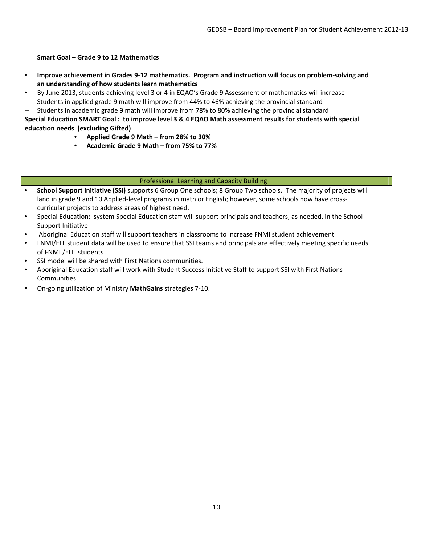#### **Smart Goal – Grade 9 to 12 Mathematics**

- Improve achievement in Grades 9-12 mathematics. Program and instruction will focus on problem-solving and **an understanding of how students learn mathematics**
- By June 2013, students achieving level 3 or 4 in EQAO's Grade 9 Assessment of mathematics will increase
- Students in applied grade 9 math will improve from 44% to 46% achieving the provincial standard
- Students in academic grade 9 math will improve from 78% to 80% achieving the provincial standard

Special Education SMART Goal: to improve level 3 & 4 EQAO Math assessment results for students with special **education needs (excluding Gifted)** 

- **Applied Grade 9 Math – from 28% to 30%**
- **Academic Grade 9 Math – from 75% to 77%**

#### Professional Learning and Capacity Building

- **School Support Initiative (SSI)** supports 6 Group One schools; 8 Group Two schools. The majority of projects will land in grade 9 and 10 Applied-level programs in math or English; however, some schools now have crosscurricular projects to address areas of highest need.
- Special Education: system Special Education staff will support principals and teachers, as needed, in the School Support Initiative
- Aboriginal Education staff will support teachers in classrooms to increase FNMI student achievement
- FNMI/ELL student data will be used to ensure that SSI teams and principals are effectively meeting specific needs of FNMI /ELL students
- SSI model will be shared with First Nations communities.
- Aboriginal Education staff will work with Student Success Initiative Staff to support SSI with First Nations **Communities**
- On‐going utilization of Ministry **MathGains** strategies 7‐10.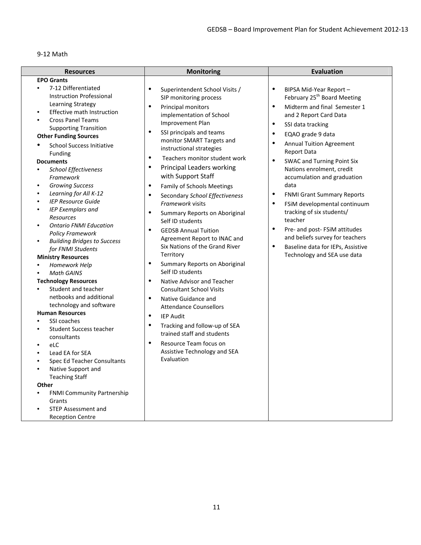## 9‐12 Math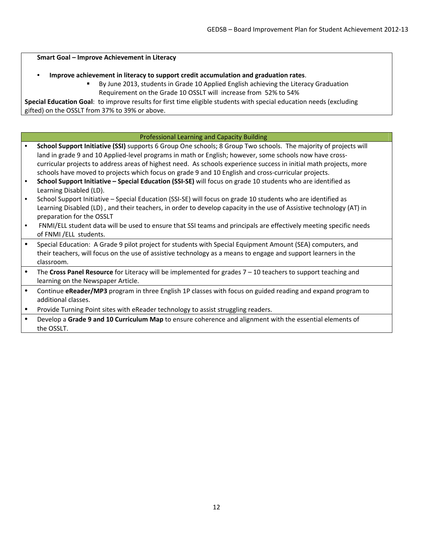#### **Smart Goal – Improve Achievement in Literacy**

#### • **Improve achievement in literacy to support credit accumulation and graduation rates**.

 By June 2013, students in Grade 10 Applied English achieving the Literacy Graduation Requirement on the Grade 10 OSSLT will increase from 52% to 54%

**Special Education Goal**: to improve results for first time eligible students with special education needs (excluding gifted) on the OSSLT from 37% to 39% or above.

#### Professional Learning and Capacity Building

- **School Support Initiative (SSI)** supports 6 Group One schools; 8 Group Two schools. The majority of projects will land in grade 9 and 10 Applied-level programs in math or English; however, some schools now have crosscurricular projects to address areas of highest need. As schools experience success in initial math projects, more schools have moved to projects which focus on grade 9 and 10 English and cross-curricular projects.
- **School Support Initiative – Special Education (SSI‐SE)** will focus on grade 10 students who are identified as Learning Disabled (LD).
- School Support Initiative Special Education (SSI-SE) will focus on grade 10 students who are identified as Learning Disabled (LD) , and their teachers, in order to develop capacity in the use of Assistive technology (AT) in preparation for the OSSLT
- FNMI/ELL student data will be used to ensure that SSI teams and principals are effectively meeting specific needs of FNMI /ELL students.
- Special Education: A Grade 9 pilot project for students with Special Equipment Amount (SEA) computers, and their teachers, will focus on the use of assistive technology as a means to engage and support learners in the classroom.
- The **Cross Panel Resource** for Literacy will be implemented for grades 7 10 teachers to support teaching and learning on the Newspaper Article.
- Continue **eReader/MP3** program in three English 1P classes with focus on guided reading and expand program to additional classes.
- Provide Turning Point sites with eReader technology to assist struggling readers.
- Develop a **Grade 9 and 10 Curriculum Map** to ensure coherence and alignment with the essential elements of the OSSLT.